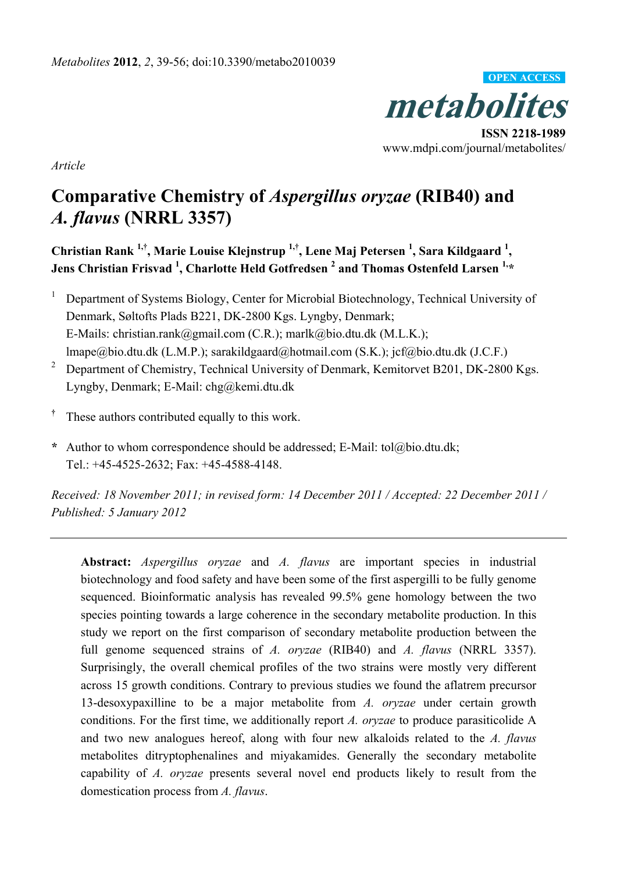

**ISSN 2218-1989**  www.mdpi.com/journal/metabolites/

*Article* 

# **Comparative Chemistry of** *Aspergillus oryzae* **(RIB40) and**  *A. flavus* **(NRRL 3357)**

**Christian Rank 1,†, Marie Louise Klejnstrup 1,†, Lene Maj Petersen 1 , Sara Kildgaard <sup>1</sup> , Jens Christian Frisvad 1 , Charlotte Held Gotfredsen 2 and Thomas Ostenfeld Larsen 1,\*** 

- 1 Department of Systems Biology, Center for Microbial Biotechnology, Technical University of Denmark, Søltofts Plads B221, DK-2800 Kgs. Lyngby, Denmark; E-Mails: christian.rank@gmail.com (C.R.); marlk@bio.dtu.dk (M.L.K.); lmape@bio.dtu.dk (L.M.P.); sarakildgaard@hotmail.com (S.K.); jcf@bio.dtu.dk (J.C.F.)
- 2 Department of Chemistry, Technical University of Denmark, Kemitorvet B201, DK-2800 Kgs. Lyngby, Denmark; E-Mail: chg@kemi.dtu.dk
- **†** These authors contributed equally to this work.
- **\*** Author to whom correspondence should be addressed; E-Mail: tol@bio.dtu.dk; Tel.: +45-4525-2632; Fax: +45-4588-4148.

*Received: 18 November 2011; in revised form: 14 December 2011 / Accepted: 22 December 2011 / Published: 5 January 2012* 

**Abstract:** *Aspergillus oryzae* and *A. flavus* are important species in industrial biotechnology and food safety and have been some of the first aspergilli to be fully genome sequenced. Bioinformatic analysis has revealed 99.5% gene homology between the two species pointing towards a large coherence in the secondary metabolite production. In this study we report on the first comparison of secondary metabolite production between the full genome sequenced strains of *A. oryzae* (RIB40) and *A. flavus* (NRRL 3357). Surprisingly, the overall chemical profiles of the two strains were mostly very different across 15 growth conditions. Contrary to previous studies we found the aflatrem precursor 13-desoxypaxilline to be a major metabolite from *A. oryzae* under certain growth conditions. For the first time, we additionally report *A. oryzae* to produce parasiticolide A and two new analogues hereof, along with four new alkaloids related to the *A. flavus*  metabolites ditryptophenalines and miyakamides. Generally the secondary metabolite capability of *A. oryzae* presents several novel end products likely to result from the domestication process from *A. flavus*.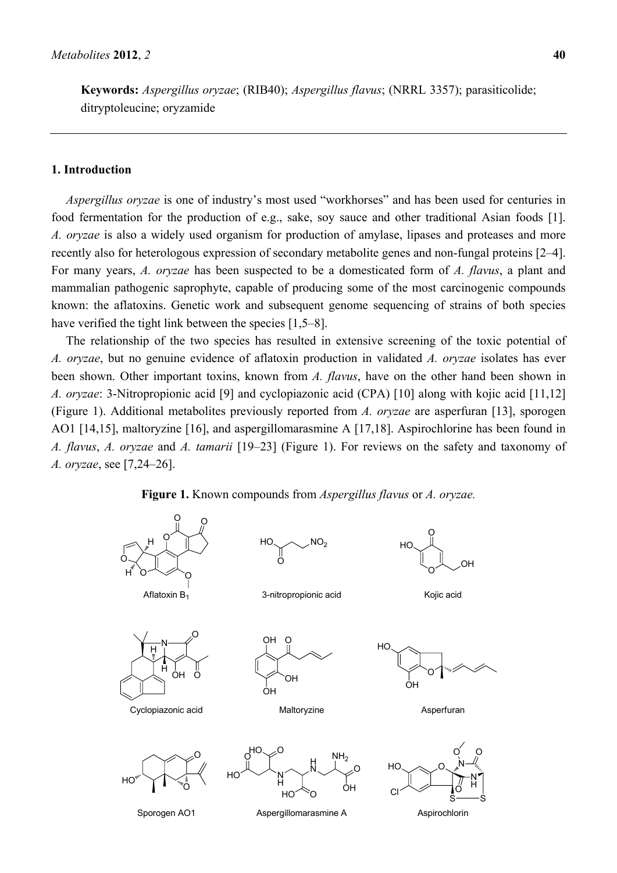**Keywords:** *Aspergillus oryzae*; (RIB40); *Aspergillus flavus*; (NRRL 3357); parasiticolide; ditryptoleucine; oryzamide

# **1. Introduction**

*Aspergillus oryzae* is one of industry's most used "workhorses" and has been used for centuries in food fermentation for the production of e.g., sake, soy sauce and other traditional Asian foods [1]. *A. oryzae* is also a widely used organism for production of amylase, lipases and proteases and more recently also for heterologous expression of secondary metabolite genes and non-fungal proteins [2–4]. For many years, *A. oryzae* has been suspected to be a domesticated form of *A. flavus*, a plant and mammalian pathogenic saprophyte, capable of producing some of the most carcinogenic compounds known: the aflatoxins. Genetic work and subsequent genome sequencing of strains of both species have verified the tight link between the species [1,5–8].

The relationship of the two species has resulted in extensive screening of the toxic potential of *A. oryzae*, but no genuine evidence of aflatoxin production in validated *A. oryzae* isolates has ever been shown. Other important toxins, known from *A. flavus*, have on the other hand been shown in *A. oryzae*: 3-Nitropropionic acid [9] and cyclopiazonic acid (CPA) [10] along with kojic acid [11,12] (Figure 1). Additional metabolites previously reported from *A. oryzae* are asperfuran [13], sporogen AO1 [14,15], maltoryzine [16], and aspergillomarasmine A [17,18]. Aspirochlorine has been found in *A. flavus*, *A. oryzae* and *A. tamarii* [19–23] (Figure 1). For reviews on the safety and taxonomy of *A. oryzae*, see [7,24–26].



**Figure 1.** Known compounds from *Aspergillus flavus* or *A. oryzae.*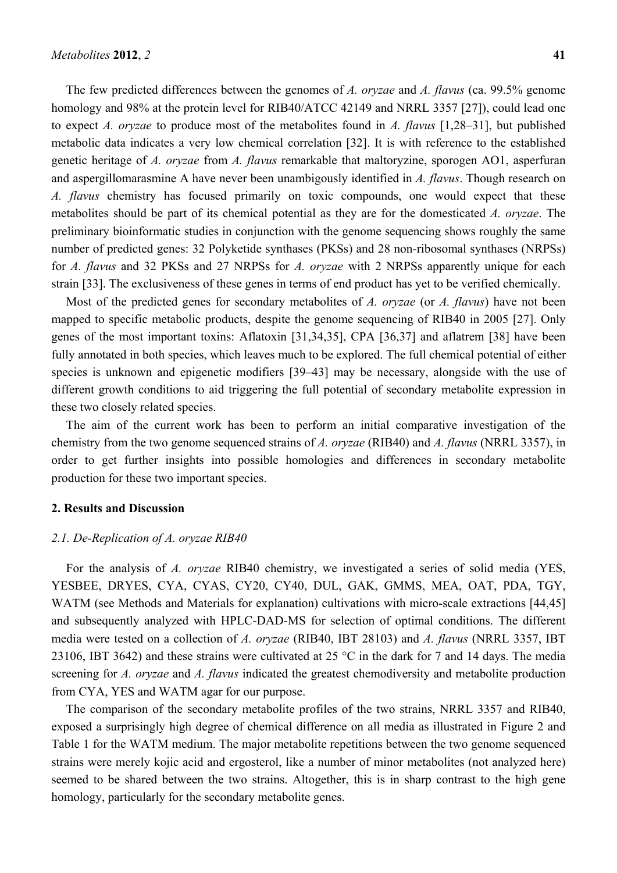The few predicted differences between the genomes of *A. oryzae* and *A. flavus* (ca. 99.5% genome homology and 98% at the protein level for RIB40/ATCC 42149 and NRRL 3357 [27]), could lead one to expect *A. oryzae* to produce most of the metabolites found in *A. flavus* [1,28–31], but published metabolic data indicates a very low chemical correlation [32]. It is with reference to the established genetic heritage of *A. oryzae* from *A. flavus* remarkable that maltoryzine, sporogen AO1, asperfuran and aspergillomarasmine A have never been unambigously identified in *A. flavus*. Though research on *A. flavus* chemistry has focused primarily on toxic compounds, one would expect that these metabolites should be part of its chemical potential as they are for the domesticated *A. oryzae*. The preliminary bioinformatic studies in conjunction with the genome sequencing shows roughly the same number of predicted genes: 32 Polyketide synthases (PKSs) and 28 non-ribosomal synthases (NRPSs) for *A. flavus* and 32 PKSs and 27 NRPSs for *A. oryzae* with 2 NRPSs apparently unique for each strain [33]. The exclusiveness of these genes in terms of end product has yet to be verified chemically.

Most of the predicted genes for secondary metabolites of *A. oryzae* (or *A. flavus*) have not been mapped to specific metabolic products, despite the genome sequencing of RIB40 in 2005 [27]. Only genes of the most important toxins: Aflatoxin [31,34,35], CPA [36,37] and aflatrem [38] have been fully annotated in both species, which leaves much to be explored. The full chemical potential of either species is unknown and epigenetic modifiers [39–43] may be necessary, alongside with the use of different growth conditions to aid triggering the full potential of secondary metabolite expression in these two closely related species.

The aim of the current work has been to perform an initial comparative investigation of the chemistry from the two genome sequenced strains of *A. oryzae* (RIB40) and *A. flavus* (NRRL 3357), in order to get further insights into possible homologies and differences in secondary metabolite production for these two important species.

# **2. Results and Discussion**

#### *2.1. De-Replication of A. oryzae RIB40*

For the analysis of *A. oryzae* RIB40 chemistry, we investigated a series of solid media (YES, YESBEE, DRYES, CYA, CYAS, CY20, CY40, DUL, GAK, GMMS, MEA, OAT, PDA, TGY, WATM (see Methods and Materials for explanation) cultivations with micro-scale extractions [44,45] and subsequently analyzed with HPLC-DAD-MS for selection of optimal conditions. The different media were tested on a collection of *A. oryzae* (RIB40, IBT 28103) and *A. flavus* (NRRL 3357, IBT 23106, IBT 3642) and these strains were cultivated at 25 °C in the dark for 7 and 14 days. The media screening for *A. oryzae* and *A. flavus* indicated the greatest chemodiversity and metabolite production from CYA, YES and WATM agar for our purpose.

The comparison of the secondary metabolite profiles of the two strains, NRRL 3357 and RIB40, exposed a surprisingly high degree of chemical difference on all media as illustrated in Figure 2 and Table 1 for the WATM medium. The major metabolite repetitions between the two genome sequenced strains were merely kojic acid and ergosterol, like a number of minor metabolites (not analyzed here) seemed to be shared between the two strains. Altogether, this is in sharp contrast to the high gene homology, particularly for the secondary metabolite genes.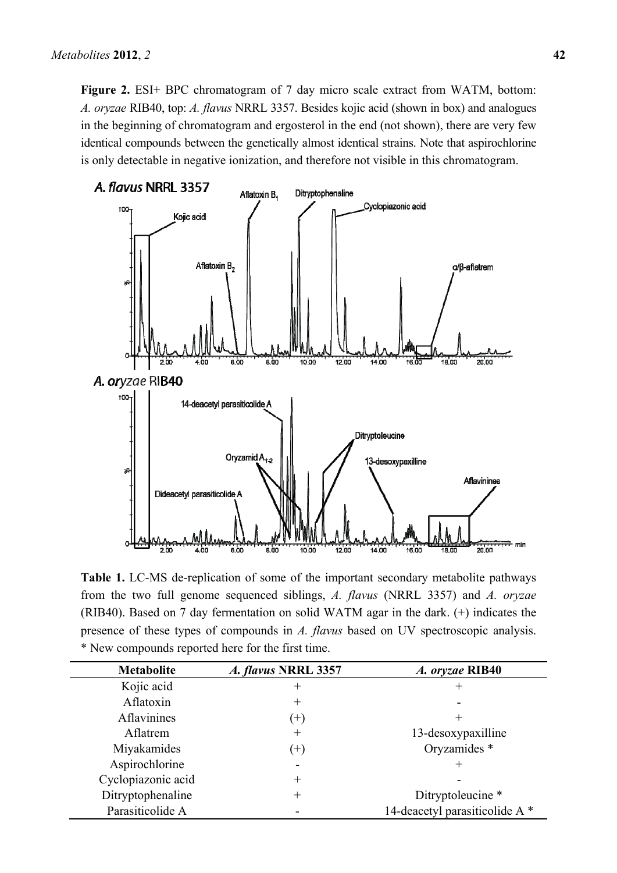**Figure 2.** ESI+ BPC chromatogram of 7 day micro scale extract from WATM, bottom: *A. oryzae* RIB40, top: *A. flavus* NRRL 3357. Besides kojic acid (shown in box) and analogues in the beginning of chromatogram and ergosterol in the end (not shown), there are very few identical compounds between the genetically almost identical strains. Note that aspirochlorine is only detectable in negative ionization, and therefore not visible in this chromatogram.



**Table 1.** LC-MS de-replication of some of the important secondary metabolite pathways from the two full genome sequenced siblings, *A. flavus* (NRRL 3357) and *A. oryzae* (RIB40). Based on 7 day fermentation on solid WATM agar in the dark. (+) indicates the presence of these types of compounds in *A. flavus* based on UV spectroscopic analysis. \* New compounds reported here for the first time.

| <b>Metabolite</b>  | A. flavus NRRL 3357 | A. oryzae RIB40                |  |  |
|--------------------|---------------------|--------------------------------|--|--|
| Kojic acid         | $^+$                |                                |  |  |
| Aflatoxin          | $^+$                |                                |  |  |
| Aflavinines        | $^{(+)}$            |                                |  |  |
| Aflatrem           | $^{+}$              | 13-desoxypaxilline             |  |  |
| Miyakamides        | $^{(+)}$            | Oryzamides *                   |  |  |
| Aspirochlorine     |                     |                                |  |  |
| Cyclopiazonic acid | $^+$                |                                |  |  |
| Ditryptophenaline  | $^{+}$              | Ditryptoleucine *              |  |  |
| Parasiticolide A   |                     | 14-deacetyl parasiticolide A * |  |  |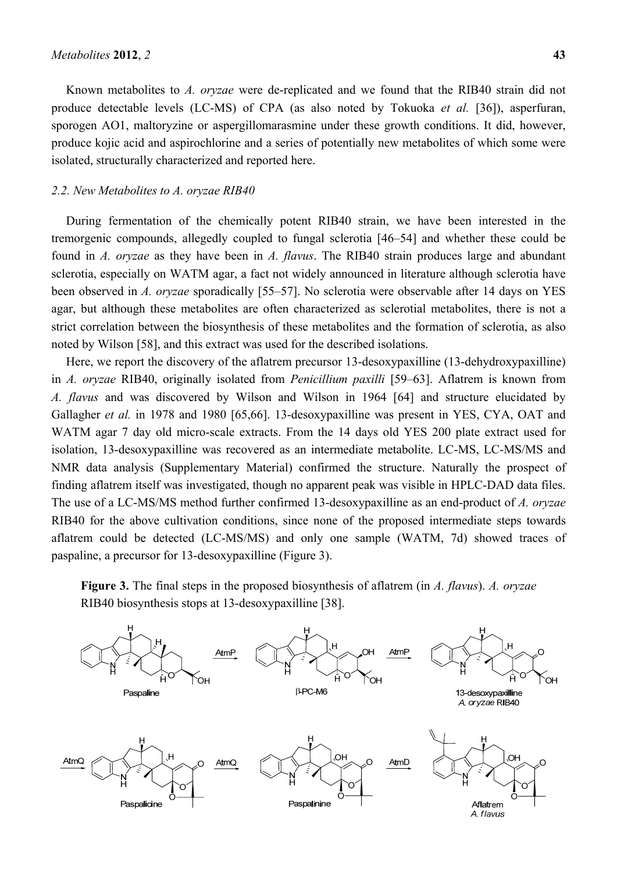Known metabolites to *A. oryzae* were de-replicated and we found that the RIB40 strain did not produce detectable levels (LC-MS) of CPA (as also noted by Tokuoka *et al.* [36]), asperfuran, sporogen AO1, maltoryzine or aspergillomarasmine under these growth conditions. It did, however, produce kojic acid and aspirochlorine and a series of potentially new metabolites of which some were isolated, structurally characterized and reported here.

#### *2.2. New Metabolites to A. oryzae RIB40*

During fermentation of the chemically potent RIB40 strain, we have been interested in the tremorgenic compounds, allegedly coupled to fungal sclerotia [46–54] and whether these could be found in *A. oryzae* as they have been in *A. flavus*. The RIB40 strain produces large and abundant sclerotia, especially on WATM agar, a fact not widely announced in literature although sclerotia have been observed in *A. oryzae* sporadically [55–57]. No sclerotia were observable after 14 days on YES agar, but although these metabolites are often characterized as sclerotial metabolites, there is not a strict correlation between the biosynthesis of these metabolites and the formation of sclerotia, as also noted by Wilson [58], and this extract was used for the described isolations.

Here, we report the discovery of the aflatrem precursor 13-desoxypaxilline (13-dehydroxypaxilline) in *A. oryzae* RIB40, originally isolated from *Penicillium paxilli* [59–63]. Aflatrem is known from *A. flavus* and was discovered by Wilson and Wilson in 1964 [64] and structure elucidated by Gallagher *et al.* in 1978 and 1980 [65,66]. 13-desoxypaxilline was present in YES, CYA, OAT and WATM agar 7 day old micro-scale extracts. From the 14 days old YES 200 plate extract used for isolation, 13-desoxypaxilline was recovered as an intermediate metabolite. LC-MS, LC-MS/MS and NMR data analysis (Supplementary Material) confirmed the structure. Naturally the prospect of finding aflatrem itself was investigated, though no apparent peak was visible in HPLC-DAD data files. The use of a LC-MS/MS method further confirmed 13-desoxypaxilline as an end-product of *A. oryzae*  RIB40 for the above cultivation conditions, since none of the proposed intermediate steps towards aflatrem could be detected (LC-MS/MS) and only one sample (WATM, 7d) showed traces of paspaline, a precursor for 13-desoxypaxilline (Figure 3).

**Figure 3.** The final steps in the proposed biosynthesis of aflatrem (in *A. flavus*). *A. oryzae* RIB40 biosynthesis stops at 13-desoxypaxilline [38].

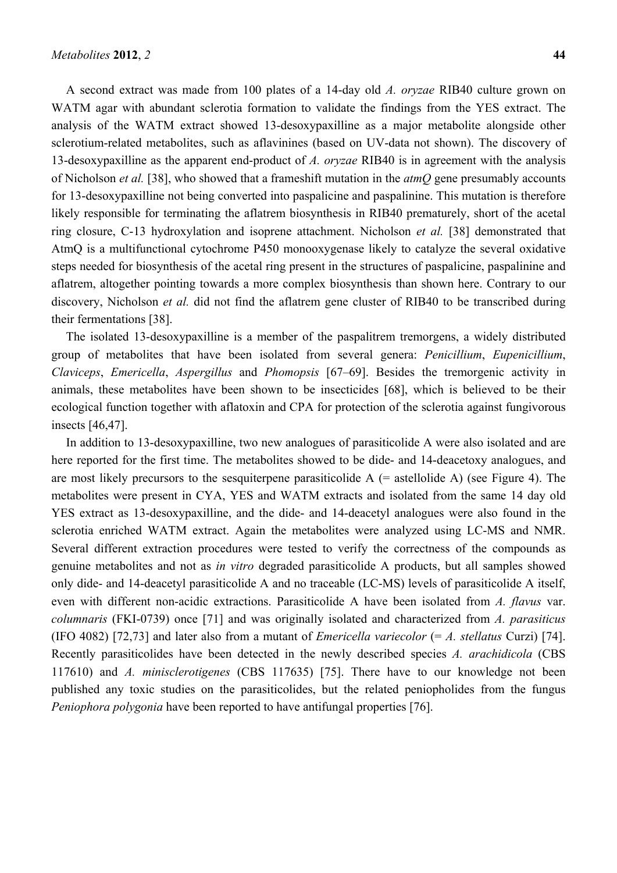A second extract was made from 100 plates of a 14-day old *A. oryzae* RIB40 culture grown on WATM agar with abundant sclerotia formation to validate the findings from the YES extract. The analysis of the WATM extract showed 13-desoxypaxilline as a major metabolite alongside other sclerotium-related metabolites, such as aflavinines (based on UV-data not shown). The discovery of 13-desoxypaxilline as the apparent end-product of *A. oryzae* RIB40 is in agreement with the analysis of Nicholson *et al.* [38], who showed that a frameshift mutation in the *atmQ* gene presumably accounts for 13-desoxypaxilline not being converted into paspalicine and paspalinine. This mutation is therefore likely responsible for terminating the aflatrem biosynthesis in RIB40 prematurely, short of the acetal ring closure, C-13 hydroxylation and isoprene attachment. Nicholson *et al.* [38] demonstrated that AtmQ is a multifunctional cytochrome P450 monooxygenase likely to catalyze the several oxidative steps needed for biosynthesis of the acetal ring present in the structures of paspalicine, paspalinine and aflatrem, altogether pointing towards a more complex biosynthesis than shown here. Contrary to our discovery, Nicholson *et al.* did not find the aflatrem gene cluster of RIB40 to be transcribed during their fermentations [38].

The isolated 13-desoxypaxilline is a member of the paspalitrem tremorgens, a widely distributed group of metabolites that have been isolated from several genera: *Penicillium*, *Eupenicillium*, *Claviceps*, *Emericella*, *Aspergillus* and *Phomopsis* [67–69]. Besides the tremorgenic activity in animals, these metabolites have been shown to be insecticides [68], which is believed to be their ecological function together with aflatoxin and CPA for protection of the sclerotia against fungivorous insects [46,47].

In addition to 13-desoxypaxilline, two new analogues of parasiticolide A were also isolated and are here reported for the first time. The metabolites showed to be dide- and 14-deacetoxy analogues, and are most likely precursors to the sesquiterpene parasiticolide  $A$  (= astellolide A) (see Figure 4). The metabolites were present in CYA, YES and WATM extracts and isolated from the same 14 day old YES extract as 13-desoxypaxilline, and the dide- and 14-deacetyl analogues were also found in the sclerotia enriched WATM extract. Again the metabolites were analyzed using LC-MS and NMR. Several different extraction procedures were tested to verify the correctness of the compounds as genuine metabolites and not as *in vitro* degraded parasiticolide A products, but all samples showed only dide- and 14-deacetyl parasiticolide A and no traceable (LC-MS) levels of parasiticolide A itself, even with different non-acidic extractions. Parasiticolide A have been isolated from *A. flavus* var. *columnaris* (FKI-0739) once [71] and was originally isolated and characterized from *A. parasiticus*  (IFO 4082) [72,73] and later also from a mutant of *Emericella variecolor* (= *A. stellatus* Curzi) [74]. Recently parasiticolides have been detected in the newly described species *A. arachidicola* (CBS 117610) and *A. minisclerotigenes* (CBS 117635) [75]. There have to our knowledge not been published any toxic studies on the parasiticolides, but the related peniopholides from the fungus *Peniophora polygonia* have been reported to have antifungal properties [76].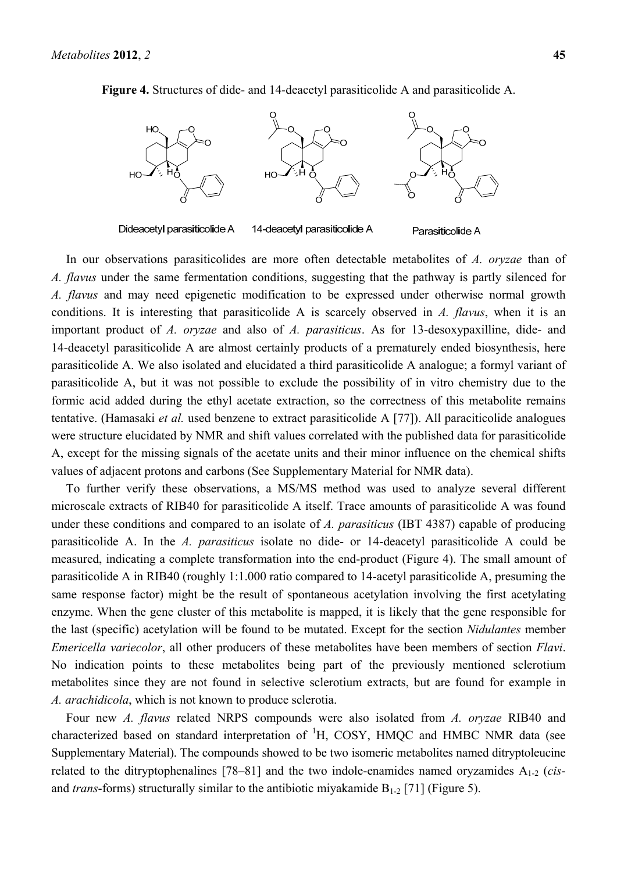

Parasiticolide A

**Figure 4.** Structures of dide- and 14-deacetyl parasiticolide A and parasiticolide A.

Dideacetyl parasiticolide A 14-deacetyl parasiticolide A

In our observations parasiticolides are more often detectable metabolites of *A. oryzae* than of *A. flavus* under the same fermentation conditions, suggesting that the pathway is partly silenced for *A. flavus* and may need epigenetic modification to be expressed under otherwise normal growth conditions. It is interesting that parasiticolide A is scarcely observed in *A. flavus*, when it is an important product of *A. oryzae* and also of *A. parasiticus*. As for 13-desoxypaxilline, dide- and 14-deacetyl parasiticolide A are almost certainly products of a prematurely ended biosynthesis, here parasiticolide A. We also isolated and elucidated a third parasiticolide A analogue; a formyl variant of parasiticolide A, but it was not possible to exclude the possibility of in vitro chemistry due to the formic acid added during the ethyl acetate extraction, so the correctness of this metabolite remains tentative. (Hamasaki *et al.* used benzene to extract parasiticolide A [77]). All paraciticolide analogues were structure elucidated by NMR and shift values correlated with the published data for parasiticolide A, except for the missing signals of the acetate units and their minor influence on the chemical shifts values of adjacent protons and carbons (See Supplementary Material for NMR data).

To further verify these observations, a MS/MS method was used to analyze several different microscale extracts of RIB40 for parasiticolide A itself. Trace amounts of parasiticolide A was found under these conditions and compared to an isolate of *A. parasiticus* (IBT 4387) capable of producing parasiticolide A. In the *A. parasiticus* isolate no dide- or 14-deacetyl parasiticolide A could be measured, indicating a complete transformation into the end-product (Figure 4). The small amount of parasiticolide A in RIB40 (roughly 1:1.000 ratio compared to 14-acetyl parasiticolide A, presuming the same response factor) might be the result of spontaneous acetylation involving the first acetylating enzyme. When the gene cluster of this metabolite is mapped, it is likely that the gene responsible for the last (specific) acetylation will be found to be mutated. Except for the section *Nidulantes* member *Emericella variecolor*, all other producers of these metabolites have been members of section *Flavi*. No indication points to these metabolites being part of the previously mentioned sclerotium metabolites since they are not found in selective sclerotium extracts, but are found for example in *A. arachidicola*, which is not known to produce sclerotia.

Four new *A. flavus* related NRPS compounds were also isolated from *A. oryzae* RIB40 and characterized based on standard interpretation of <sup>1</sup>H, COSY, HMQC and HMBC NMR data (see Supplementary Material). The compounds showed to be two isomeric metabolites named ditryptoleucine related to the ditryptophenalines [78–81] and the two indole-enamides named oryzamides A1-2 (*cis*and *trans*-forms) structurally similar to the antibiotic miyakamide  $B_{1-2}$  [71] (Figure 5).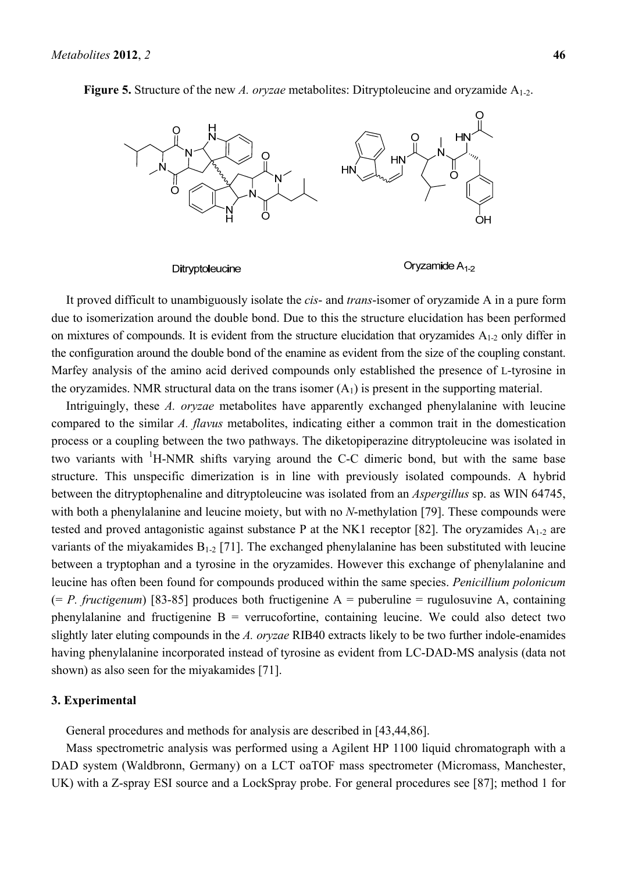

**Figure 5.** Structure of the new *A. oryzae* metabolites: Ditryptoleucine and oryzamide A<sub>1-2</sub>.

It proved difficult to unambiguously isolate the *cis*- and *trans*-isomer of oryzamide A in a pure form due to isomerization around the double bond. Due to this the structure elucidation has been performed on mixtures of compounds. It is evident from the structure elucidation that oryzamides  $A_{1-2}$  only differ in the configuration around the double bond of the enamine as evident from the size of the coupling constant. Marfey analysis of the amino acid derived compounds only established the presence of L-tyrosine in the oryzamides. NMR structural data on the trans isomer  $(A<sub>1</sub>)$  is present in the supporting material.

Intriguingly, these *A. oryzae* metabolites have apparently exchanged phenylalanine with leucine compared to the similar *A. flavus* metabolites, indicating either a common trait in the domestication process or a coupling between the two pathways. The diketopiperazine ditryptoleucine was isolated in two variants with  ${}^{1}$ H-NMR shifts varying around the C-C dimeric bond, but with the same base structure. This unspecific dimerization is in line with previously isolated compounds. A hybrid between the ditryptophenaline and ditryptoleucine was isolated from an *Aspergillus* sp. as WIN 64745, with both a phenylalanine and leucine moiety, but with no *N*-methylation [79]. These compounds were tested and proved antagonistic against substance P at the NK1 receptor [82]. The oryzamides  $A_{1-2}$  are variants of the miyakamides  $B_{1-2}$  [71]. The exchanged phenylalanine has been substituted with leucine between a tryptophan and a tyrosine in the oryzamides. However this exchange of phenylalanine and leucine has often been found for compounds produced within the same species. *Penicillium polonicum* (= *P. fructigenum*) [83-85] produces both fructigenine A = puberuline = rugulosuvine A, containing phenylalanine and fructigenine  $B =$  verrucofortine, containing leucine. We could also detect two slightly later eluting compounds in the *A. oryzae* RIB40 extracts likely to be two further indole-enamides having phenylalanine incorporated instead of tyrosine as evident from LC-DAD-MS analysis (data not shown) as also seen for the miyakamides [71].

# **3. Experimental**

General procedures and methods for analysis are described in [43,44,86].

Mass spectrometric analysis was performed using a Agilent HP 1100 liquid chromatograph with a DAD system (Waldbronn, Germany) on a LCT oaTOF mass spectrometer (Micromass, Manchester, UK) with a Z-spray ESI source and a LockSpray probe. For general procedures see [87]; method 1 for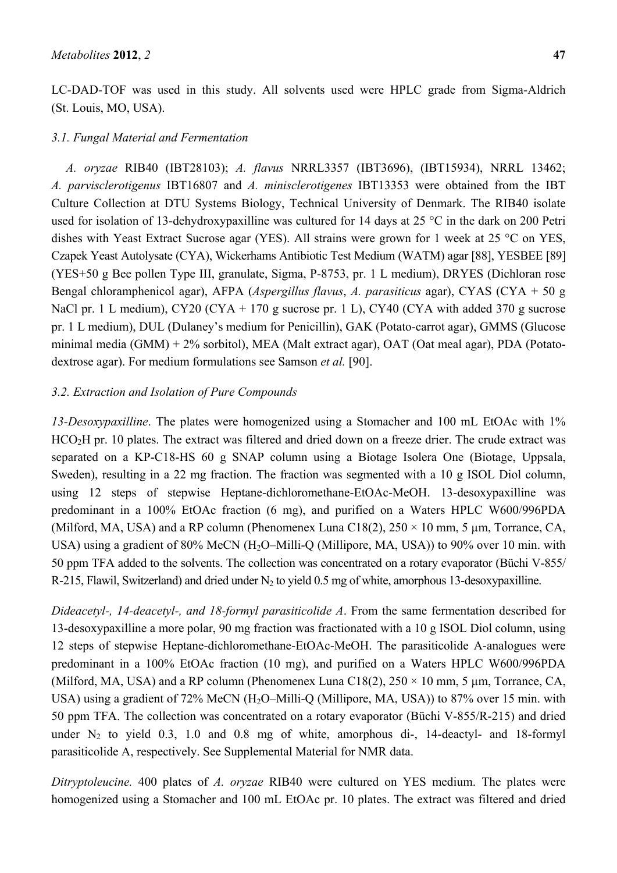LC-DAD-TOF was used in this study. All solvents used were HPLC grade from Sigma-Aldrich (St. Louis, MO, USA).

### *3.1. Fungal Material and Fermentation*

*A. oryzae* RIB40 (IBT28103); *A. flavus* NRRL3357 (IBT3696), (IBT15934), NRRL 13462; *A. parvisclerotigenus* IBT16807 and *A. minisclerotigenes* IBT13353 were obtained from the IBT Culture Collection at DTU Systems Biology, Technical University of Denmark. The RIB40 isolate used for isolation of 13-dehydroxypaxilline was cultured for 14 days at 25 °C in the dark on 200 Petri dishes with Yeast Extract Sucrose agar (YES). All strains were grown for 1 week at 25 °C on YES, Czapek Yeast Autolysate (CYA), Wickerhams Antibiotic Test Medium (WATM) agar [88], YESBEE [89] (YES+50 g Bee pollen Type III, granulate, Sigma, P-8753, pr. 1 L medium), DRYES (Dichloran rose Bengal chloramphenicol agar), AFPA (*Aspergillus flavus*, *A. parasiticus* agar), CYAS (CYA + 50 g NaCl pr. 1 L medium), CY20 (CYA + 170 g sucrose pr. 1 L), CY40 (CYA with added 370 g sucrose pr. 1 L medium), DUL (Dulaney's medium for Penicillin), GAK (Potato-carrot agar), GMMS (Glucose minimal media (GMM) + 2% sorbitol), MEA (Malt extract agar), OAT (Oat meal agar), PDA (Potatodextrose agar). For medium formulations see Samson *et al.* [90].

# *3.2. Extraction and Isolation of Pure Compounds*

*13-Desoxypaxilline*. The plates were homogenized using a Stomacher and 100 mL EtOAc with 1% HCO<sub>2</sub>H pr. 10 plates. The extract was filtered and dried down on a freeze drier. The crude extract was separated on a KP-C18-HS 60 g SNAP column using a Biotage Isolera One (Biotage, Uppsala, Sweden), resulting in a 22 mg fraction. The fraction was segmented with a 10 g ISOL Diol column, using 12 steps of stepwise Heptane-dichloromethane-EtOAc-MeOH. 13-desoxypaxilline was predominant in a 100% EtOAc fraction (6 mg), and purified on a Waters HPLC W600/996PDA (Milford, MA, USA) and a RP column (Phenomenex Luna C18(2),  $250 \times 10$  mm, 5 µm, Torrance, CA, USA) using a gradient of 80% MeCN (H<sub>2</sub>O–Milli-Q (Millipore, MA, USA)) to 90% over 10 min. with 50 ppm TFA added to the solvents. The collection was concentrated on a rotary evaporator (Büchi V-855/ R-215, Flawil, Switzerland) and dried under  $N_2$  to yield 0.5 mg of white, amorphous 13-desoxypaxilline.

*Dideacetyl-, 14-deacetyl-, and 18-formyl parasiticolide A*. From the same fermentation described for 13-desoxypaxilline a more polar, 90 mg fraction was fractionated with a 10 g ISOL Diol column, using 12 steps of stepwise Heptane-dichloromethane-EtOAc-MeOH. The parasiticolide A-analogues were predominant in a 100% EtOAc fraction (10 mg), and purified on a Waters HPLC W600/996PDA (Milford, MA, USA) and a RP column (Phenomenex Luna C18(2),  $250 \times 10$  mm, 5 µm, Torrance, CA, USA) using a gradient of 72% MeCN (H<sub>2</sub>O–Milli-Q (Millipore, MA, USA)) to 87% over 15 min. with 50 ppm TFA. The collection was concentrated on a rotary evaporator (Büchi V-855/R-215) and dried under  $N_2$  to yield 0.3, 1.0 and 0.8 mg of white, amorphous di-, 14-deactyl- and 18-formyl parasiticolide A, respectively. See Supplemental Material for NMR data.

*Ditryptoleucine.* 400 plates of *A. oryzae* RIB40 were cultured on YES medium. The plates were homogenized using a Stomacher and 100 mL EtOAc pr. 10 plates. The extract was filtered and dried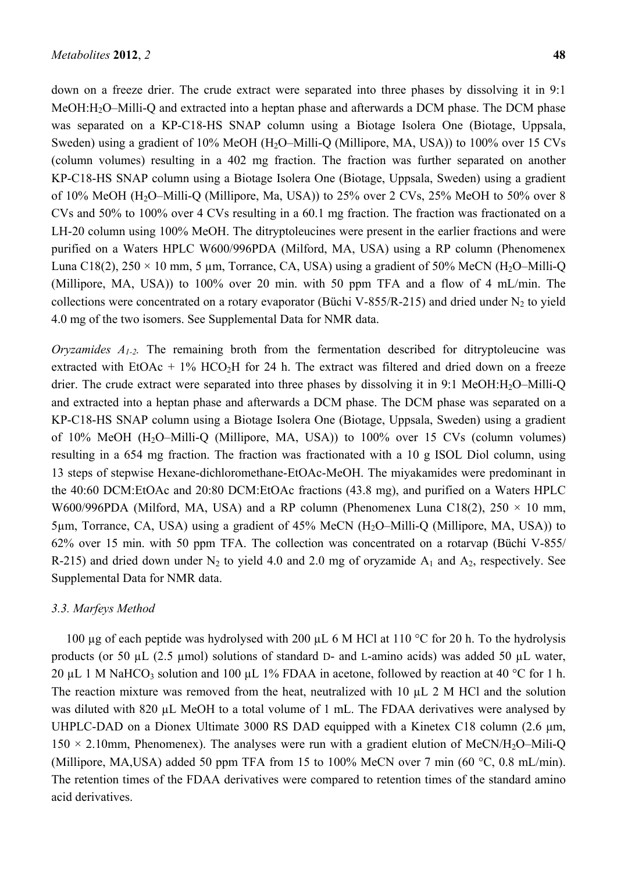down on a freeze drier. The crude extract were separated into three phases by dissolving it in 9:1 MeOH:H<sub>2</sub>O–Milli-Q and extracted into a heptan phase and afterwards a DCM phase. The DCM phase was separated on a KP-C18-HS SNAP column using a Biotage Isolera One (Biotage, Uppsala, Sweden) using a gradient of 10% MeOH (H<sub>2</sub>O–Milli-Q (Millipore, MA, USA)) to 100% over 15 CVs (column volumes) resulting in a 402 mg fraction. The fraction was further separated on another KP-C18-HS SNAP column using a Biotage Isolera One (Biotage, Uppsala, Sweden) using a gradient of 10% MeOH (H<sub>2</sub>O–Milli-Q (Millipore, Ma, USA)) to 25% over 2 CVs, 25% MeOH to 50% over 8 CVs and 50% to 100% over 4 CVs resulting in a 60.1 mg fraction. The fraction was fractionated on a LH-20 column using 100% MeOH. The ditryptoleucines were present in the earlier fractions and were purified on a Waters HPLC W600/996PDA (Milford, MA, USA) using a RP column (Phenomenex Luna C18(2),  $250 \times 10$  mm, 5 µm, Torrance, CA, USA) using a gradient of 50% MeCN (H<sub>2</sub>O–Milli-Q) (Millipore, MA, USA)) to 100% over 20 min. with 50 ppm TFA and a flow of 4 mL/min. The collections were concentrated on a rotary evaporator (Büchi V-855/R-215) and dried under  $N_2$  to yield 4.0 mg of the two isomers. See Supplemental Data for NMR data.

*Oryzamides A<sub>1-2</sub>*. The remaining broth from the fermentation described for ditryptoleucine was extracted with EtOAc + 1% HCO<sub>2</sub>H for 24 h. The extract was filtered and dried down on a freeze drier. The crude extract were separated into three phases by dissolving it in 9:1 MeOH:H<sub>2</sub>O–Milli-O and extracted into a heptan phase and afterwards a DCM phase. The DCM phase was separated on a KP-C18-HS SNAP column using a Biotage Isolera One (Biotage, Uppsala, Sweden) using a gradient of  $10\%$  MeOH (H<sub>2</sub>O–Milli-O (Millipore, MA, USA)) to  $100\%$  over 15 CVs (column volumes) resulting in a 654 mg fraction. The fraction was fractionated with a 10 g ISOL Diol column, using 13 steps of stepwise Hexane-dichloromethane-EtOAc-MeOH. The miyakamides were predominant in the 40:60 DCM:EtOAc and 20:80 DCM:EtOAc fractions (43.8 mg), and purified on a Waters HPLC W600/996PDA (Milford, MA, USA) and a RP column (Phenomenex Luna C18(2),  $250 \times 10$  mm, 5µm, Torrance, CA, USA) using a gradient of 45% MeCN (H2O–Milli-Q (Millipore, MA, USA)) to 62% over 15 min. with 50 ppm TFA. The collection was concentrated on a rotarvap (Büchi V-855/ R-215) and dried down under  $N_2$  to yield 4.0 and 2.0 mg of oryzamide  $A_1$  and  $A_2$ , respectively. See Supplemental Data for NMR data.

# *3.3. Marfeys Method*

100 µg of each peptide was hydrolysed with 200 µL 6 M HCl at 110 °C for 20 h. To the hydrolysis products (or 50  $\mu$ L (2.5 µmol) solutions of standard D- and L-amino acids) was added 50  $\mu$ L water, 20 µL 1 M NaHCO<sub>3</sub> solution and 100 µL 1% FDAA in acetone, followed by reaction at 40 °C for 1 h. The reaction mixture was removed from the heat, neutralized with 10  $\mu$ L 2 M HCl and the solution was diluted with 820 uL MeOH to a total volume of 1 mL. The FDAA derivatives were analysed by UHPLC-DAD on a Dionex Ultimate 3000 RS DAD equipped with a Kinetex C18 column (2.6 μm,  $150 \times 2.10$ mm, Phenomenex). The analyses were run with a gradient elution of MeCN/H<sub>2</sub>O–Mili-O (Millipore, MA,USA) added 50 ppm TFA from 15 to 100% MeCN over 7 min (60 °C, 0.8 mL/min). The retention times of the FDAA derivatives were compared to retention times of the standard amino acid derivatives.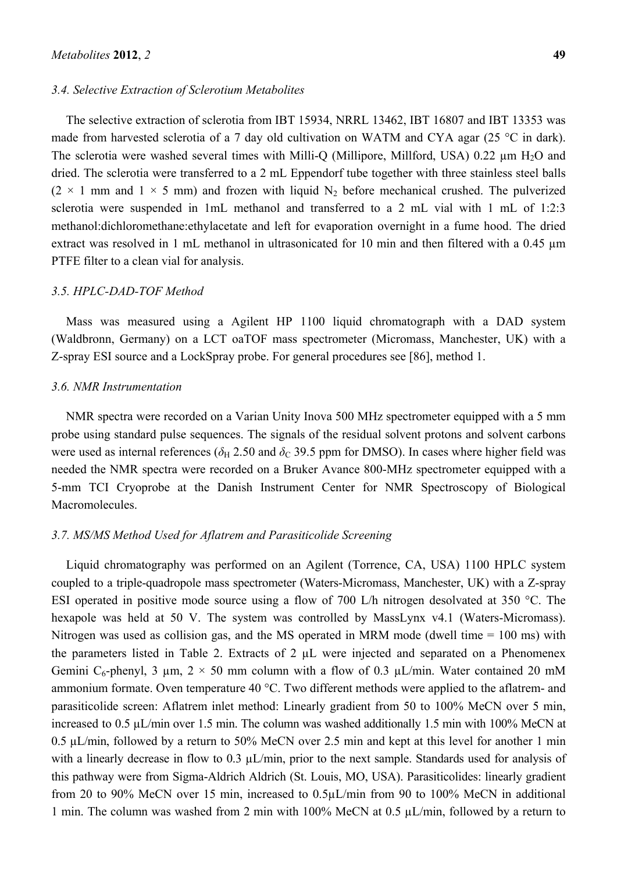#### *3.4. Selective Extraction of Sclerotium Metabolites*

The selective extraction of sclerotia from IBT 15934, NRRL 13462, IBT 16807 and IBT 13353 was made from harvested sclerotia of a 7 day old cultivation on WATM and CYA agar (25  $^{\circ}$ C in dark). The sclerotia were washed several times with Milli-O (Millipore, Millford, USA) 0.22  $\mu$ m H<sub>2</sub>O and dried. The sclerotia were transferred to a 2 mL Eppendorf tube together with three stainless steel balls  $(2 \times 1$  mm and  $1 \times 5$  mm) and frozen with liquid N<sub>2</sub> before mechanical crushed. The pulverized sclerotia were suspended in 1mL methanol and transferred to a 2 mL vial with 1 mL of 1:2:3 methanol:dichloromethane:ethylacetate and left for evaporation overnight in a fume hood. The dried extract was resolved in 1 mL methanol in ultrasonicated for 10 min and then filtered with a 0.45  $\mu$ m PTFE filter to a clean vial for analysis.

#### *3.5. HPLC-DAD-TOF Method*

Mass was measured using a Agilent HP 1100 liquid chromatograph with a DAD system (Waldbronn, Germany) on a LCT oaTOF mass spectrometer (Micromass, Manchester, UK) with a Z-spray ESI source and a LockSpray probe. For general procedures see [86], method 1.

#### *3.6. NMR Instrumentation*

NMR spectra were recorded on a Varian Unity Inova 500 MHz spectrometer equipped with a 5 mm probe using standard pulse sequences. The signals of the residual solvent protons and solvent carbons were used as internal references ( $\delta_H$  2.50 and  $\delta_C$  39.5 ppm for DMSO). In cases where higher field was needed the NMR spectra were recorded on a Bruker Avance 800-MHz spectrometer equipped with a 5-mm TCI Cryoprobe at the Danish Instrument Center for NMR Spectroscopy of Biological Macromolecules.

#### *3.7. MS/MS Method Used for Aflatrem and Parasiticolide Screening*

Liquid chromatography was performed on an Agilent (Torrence, CA, USA) 1100 HPLC system coupled to a triple-quadropole mass spectrometer (Waters-Micromass, Manchester, UK) with a Z-spray ESI operated in positive mode source using a flow of 700 L/h nitrogen desolvated at 350 °C. The hexapole was held at 50 V. The system was controlled by MassLynx v4.1 (Waters-Micromass). Nitrogen was used as collision gas, and the MS operated in MRM mode (dwell time = 100 ms) with the parameters listed in Table 2. Extracts of 2 µL were injected and separated on a Phenomenex Gemini C<sub>6</sub>-phenyl, 3 µm,  $2 \times 50$  mm column with a flow of 0.3 µL/min. Water contained 20 mM ammonium formate. Oven temperature 40 °C. Two different methods were applied to the aflatrem- and parasiticolide screen: Aflatrem inlet method: Linearly gradient from 50 to 100% MeCN over 5 min, increased to 0.5 µL/min over 1.5 min. The column was washed additionally 1.5 min with 100% MeCN at 0.5 µL/min, followed by a return to 50% MeCN over 2.5 min and kept at this level for another 1 min with a linearly decrease in flow to 0.3  $\mu$ L/min, prior to the next sample. Standards used for analysis of this pathway were from Sigma-Aldrich Aldrich (St. Louis, MO, USA). Parasiticolides: linearly gradient from 20 to 90% MeCN over 15 min, increased to 0.5µL/min from 90 to 100% MeCN in additional 1 min. The column was washed from 2 min with 100% MeCN at 0.5 µL/min, followed by a return to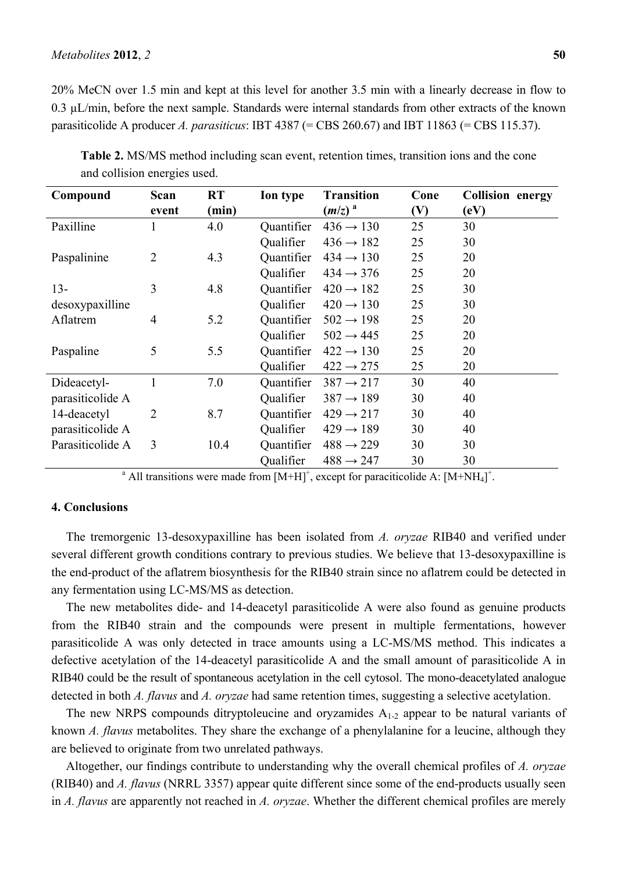#### *Metabolites* **2012**, *2* **50**

20% MeCN over 1.5 min and kept at this level for another 3.5 min with a linearly decrease in flow to 0.3 µL/min, before the next sample. Standards were internal standards from other extracts of the known parasiticolide A producer *A. parasiticus*: IBT 4387 (= CBS 260.67) and IBT 11863 (= CBS 115.37).

| Compound         | Scan           | <b>RT</b> | Ion type   | <b>Transition</b>     | Cone | <b>Collision energy</b> |
|------------------|----------------|-----------|------------|-----------------------|------|-------------------------|
|                  | event          | (min)     |            | $(m/z)^a$             | (V)  | (eV)                    |
| Paxilline        |                | 4.0       | Quantifier | $436 \rightarrow 130$ | 25   | 30                      |
|                  |                |           | Qualifier  | $436 \rightarrow 182$ | 25   | 30                      |
| Paspalinine      | $\overline{2}$ | 4.3       | Quantifier | $434 \rightarrow 130$ | 25   | 20                      |
|                  |                |           | Qualifier  | $434 \rightarrow 376$ | 25   | 20                      |
| $13 -$           | 3              | 4.8       | Quantifier | $420 \rightarrow 182$ | 25   | 30                      |
| desoxypaxilline  |                |           | Qualifier  | $420 \rightarrow 130$ | 25   | 30                      |
| Aflatrem         | $\overline{4}$ | 5.2       | Quantifier | $502 \rightarrow 198$ | 25   | 20                      |
|                  |                |           | Qualifier  | $502 \rightarrow 445$ | 25   | 20                      |
| Paspaline        | 5              | 5.5       | Quantifier | $422 \rightarrow 130$ | 25   | 20                      |
|                  |                |           | Qualifier  | $422 \rightarrow 275$ | 25   | 20                      |
| Dideacetyl-      |                | 7.0       | Quantifier | $387 \rightarrow 217$ | 30   | 40                      |
| parasiticolide A |                |           | Qualifier  | $387 \rightarrow 189$ | 30   | 40                      |
| 14-deacetyl      | $\overline{2}$ | 8.7       | Quantifier | $429 \rightarrow 217$ | 30   | 40                      |
| parasiticolide A |                |           | Qualifier  | $429 \rightarrow 189$ | 30   | 40                      |
| Parasiticolide A | 3              | 10.4      | Quantifier | $488 \rightarrow 229$ | 30   | 30                      |
|                  |                |           | Qualifier  | $488 \rightarrow 247$ | 30   | 30                      |

**Table 2.** MS/MS method including scan event, retention times, transition ions and the cone and collision energies used.

Qualifier  $488 \rightarrow 247$  30 30<br>
<sup>a</sup> All transitions were made from [M+H]<sup>+</sup>, except for paraciticolide A: [M+NH<sub>4</sub>]<sup>+</sup>.

# **4. Conclusions**

The tremorgenic 13-desoxypaxilline has been isolated from *A. oryzae* RIB40 and verified under several different growth conditions contrary to previous studies. We believe that 13-desoxypaxilline is the end-product of the aflatrem biosynthesis for the RIB40 strain since no aflatrem could be detected in any fermentation using LC-MS/MS as detection.

The new metabolites dide- and 14-deacetyl parasiticolide A were also found as genuine products from the RIB40 strain and the compounds were present in multiple fermentations, however parasiticolide A was only detected in trace amounts using a LC-MS/MS method. This indicates a defective acetylation of the 14-deacetyl parasiticolide A and the small amount of parasiticolide A in RIB40 could be the result of spontaneous acetylation in the cell cytosol. The mono-deacetylated analogue detected in both *A. flavus* and *A. oryzae* had same retention times, suggesting a selective acetylation.

The new NRPS compounds ditryptoleucine and oryzamides  $A_{1-2}$  appear to be natural variants of known *A. flavus* metabolites. They share the exchange of a phenylalanine for a leucine, although they are believed to originate from two unrelated pathways.

Altogether, our findings contribute to understanding why the overall chemical profiles of *A. oryzae* (RIB40) and *A. flavus* (NRRL 3357) appear quite different since some of the end-products usually seen in *A. flavus* are apparently not reached in *A. oryzae*. Whether the different chemical profiles are merely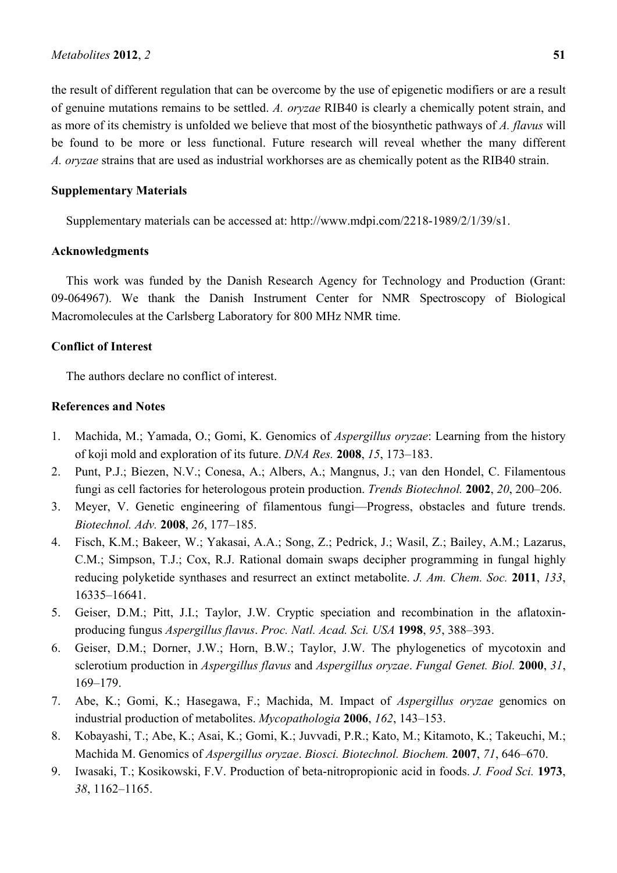#### *Metabolites* **2012**, *2* **51**

the result of different regulation that can be overcome by the use of epigenetic modifiers or are a result of genuine mutations remains to be settled. *A. oryzae* RIB40 is clearly a chemically potent strain, and as more of its chemistry is unfolded we believe that most of the biosynthetic pathways of *A. flavus* will be found to be more or less functional. Future research will reveal whether the many different *A. oryzae* strains that are used as industrial workhorses are as chemically potent as the RIB40 strain.

# **Supplementary Materials**

Supplementary materials can be accessed at: http://www.mdpi.com/2218-1989/2/1/39/s1.

# **Acknowledgments**

This work was funded by the Danish Research Agency for Technology and Production (Grant: 09-064967). We thank the Danish Instrument Center for NMR Spectroscopy of Biological Macromolecules at the Carlsberg Laboratory for 800 MHz NMR time.

#### **Conflict of Interest**

The authors declare no conflict of interest.

# **References and Notes**

- 1. Machida, M.; Yamada, O.; Gomi, K. Genomics of *Aspergillus oryzae*: Learning from the history of koji mold and exploration of its future. *DNA Res.* **2008**, *15*, 173–183.
- 2. Punt, P.J.; Biezen, N.V.; Conesa, A.; Albers, A.; Mangnus, J.; van den Hondel, C. Filamentous fungi as cell factories for heterologous protein production. *Trends Biotechnol.* **2002**, *20*, 200–206.
- 3. Meyer, V. Genetic engineering of filamentous fungi—Progress, obstacles and future trends. *Biotechnol. Adv.* **2008**, *26*, 177–185.
- 4. Fisch, K.M.; Bakeer, W.; Yakasai, A.A.; Song, Z.; Pedrick, J.; Wasil, Z.; Bailey, A.M.; Lazarus, C.M.; Simpson, T.J.; Cox, R.J. Rational domain swaps decipher programming in fungal highly reducing polyketide synthases and resurrect an extinct metabolite. *J. Am. Chem. Soc.* **2011**, *133*, 16335–16641.
- 5. Geiser, D.M.; Pitt, J.I.; Taylor, J.W. Cryptic speciation and recombination in the aflatoxinproducing fungus *Aspergillus flavus*. *Proc. Natl. Acad. Sci. USA* **1998**, *95*, 388–393.
- 6. Geiser, D.M.; Dorner, J.W.; Horn, B.W.; Taylor, J.W. The phylogenetics of mycotoxin and sclerotium production in *Aspergillus flavus* and *Aspergillus oryzae*. *Fungal Genet. Biol.* **2000**, *31*, 169–179.
- 7. Abe, K.; Gomi, K.; Hasegawa, F.; Machida, M. Impact of *Aspergillus oryzae* genomics on industrial production of metabolites. *Mycopathologia* **2006**, *162*, 143–153.
- 8. Kobayashi, T.; Abe, K.; Asai, K.; Gomi, K.; Juvvadi, P.R.; Kato, M.; Kitamoto, K.; Takeuchi, M.; Machida M. Genomics of *Aspergillus oryzae*. *Biosci. Biotechnol. Biochem.* **2007**, *71*, 646–670.
- 9. Iwasaki, T.; Kosikowski, F.V. Production of beta-nitropropionic acid in foods. *J. Food Sci.* **1973**, *38*, 1162–1165.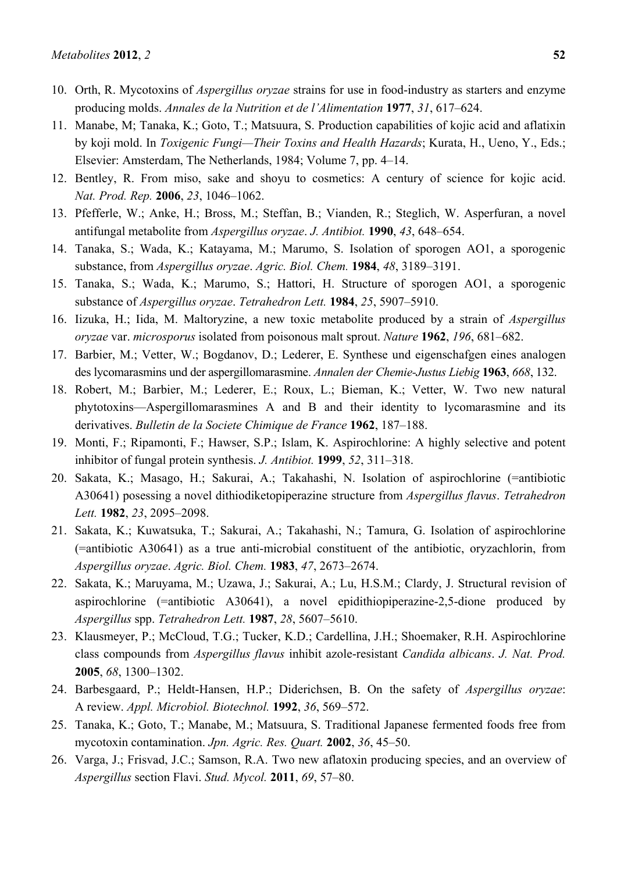- 10. Orth, R. Mycotoxins of *Aspergillus oryzae* strains for use in food-industry as starters and enzyme producing molds. *Annales de la Nutrition et de l'Alimentation* **1977**, *31*, 617–624.
- 11. Manabe, M; Tanaka, K.; Goto, T.; Matsuura, S. Production capabilities of kojic acid and aflatixin by koji mold. In *Toxigenic Fungi—Their Toxins and Health Hazards*; Kurata, H., Ueno, Y., Eds.; Elsevier: Amsterdam, The Netherlands, 1984; Volume 7, pp. 4–14.
- 12. Bentley, R. From miso, sake and shoyu to cosmetics: A century of science for kojic acid. *Nat. Prod. Rep.* **2006**, *23*, 1046–1062.
- 13. Pfefferle, W.; Anke, H.; Bross, M.; Steffan, B.; Vianden, R.; Steglich, W. Asperfuran, a novel antifungal metabolite from *Aspergillus oryzae*. *J. Antibiot.* **1990**, *43*, 648–654.
- 14. Tanaka, S.; Wada, K.; Katayama, M.; Marumo, S. Isolation of sporogen AO1, a sporogenic substance, from *Aspergillus oryzae*. *Agric. Biol. Chem.* **1984**, *48*, 3189–3191.
- 15. Tanaka, S.; Wada, K.; Marumo, S.; Hattori, H. Structure of sporogen AO1, a sporogenic substance of *Aspergillus oryzae*. *Tetrahedron Lett.* **1984**, *25*, 5907–5910.
- 16. Iizuka, H.; Iida, M. Maltoryzine, a new toxic metabolite produced by a strain of *Aspergillus oryzae* var. *microsporus* isolated from poisonous malt sprout. *Nature* **1962**, *196*, 681–682.
- 17. Barbier, M.; Vetter, W.; Bogdanov, D.; Lederer, E. Synthese und eigenschafgen eines analogen des lycomarasmins und der aspergillomarasmine. *Annalen der Chemie-Justus Liebig* **1963**, *668*, 132.
- 18. Robert, M.; Barbier, M.; Lederer, E.; Roux, L.; Bieman, K.; Vetter, W. Two new natural phytotoxins—Aspergillomarasmines A and B and their identity to lycomarasmine and its derivatives. *Bulletin de la Societe Chimique de France* **1962**, 187–188.
- 19. Monti, F.; Ripamonti, F.; Hawser, S.P.; Islam, K. Aspirochlorine: A highly selective and potent inhibitor of fungal protein synthesis. *J. Antibiot.* **1999**, *52*, 311–318.
- 20. Sakata, K.; Masago, H.; Sakurai, A.; Takahashi, N. Isolation of aspirochlorine (=antibiotic A30641) posessing a novel dithiodiketopiperazine structure from *Aspergillus flavus*. *Tetrahedron Lett.* **1982**, *23*, 2095–2098.
- 21. Sakata, K.; Kuwatsuka, T.; Sakurai, A.; Takahashi, N.; Tamura, G. Isolation of aspirochlorine (=antibiotic A30641) as a true anti-microbial constituent of the antibiotic, oryzachlorin, from *Aspergillus oryzae*. *Agric. Biol. Chem.* **1983**, *47*, 2673–2674.
- 22. Sakata, K.; Maruyama, M.; Uzawa, J.; Sakurai, A.; Lu, H.S.M.; Clardy, J. Structural revision of aspirochlorine (=antibiotic A30641), a novel epidithiopiperazine-2,5-dione produced by *Aspergillus* spp. *Tetrahedron Lett.* **1987**, *28*, 5607–5610.
- 23. Klausmeyer, P.; McCloud, T.G.; Tucker, K.D.; Cardellina, J.H.; Shoemaker, R.H. Aspirochlorine class compounds from *Aspergillus flavus* inhibit azole-resistant *Candida albicans*. *J. Nat. Prod.*  **2005**, *68*, 1300–1302.
- 24. Barbesgaard, P.; Heldt-Hansen, H.P.; Diderichsen, B. On the safety of *Aspergillus oryzae*: A review. *Appl. Microbiol. Biotechnol.* **1992**, *36*, 569–572.
- 25. Tanaka, K.; Goto, T.; Manabe, M.; Matsuura, S. Traditional Japanese fermented foods free from mycotoxin contamination. *Jpn. Agric. Res. Quart.* **2002**, *36*, 45–50.
- 26. Varga, J.; Frisvad, J.C.; Samson, R.A. Two new aflatoxin producing species, and an overview of *Aspergillus* section Flavi. *Stud. Mycol.* **2011**, *69*, 57–80.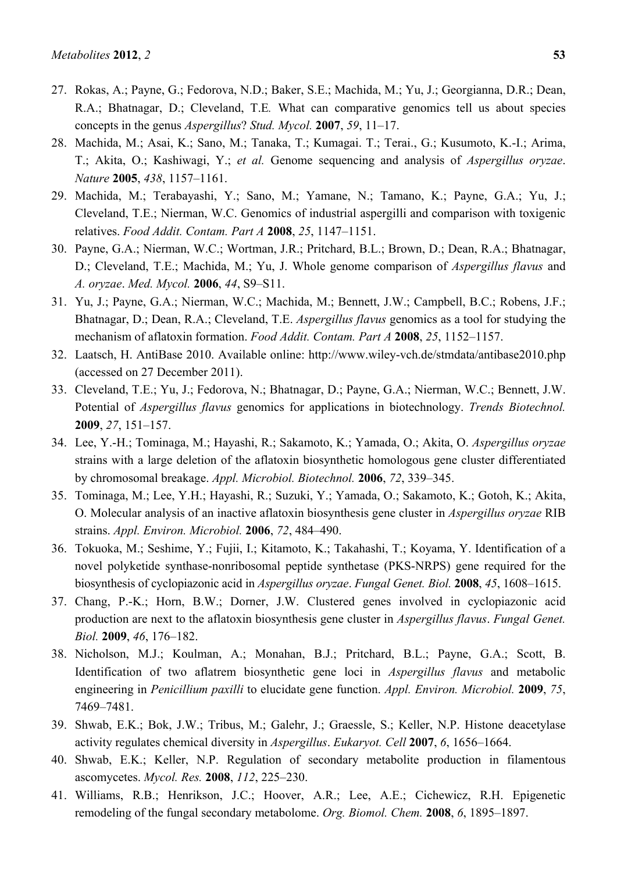- 27. Rokas, A.; Payne, G.; Fedorova, N.D.; Baker, S.E.; Machida, M.; Yu, J.; Georgianna, D.R.; Dean, R.A.; Bhatnagar, D.; Cleveland, T.E*.* What can comparative genomics tell us about species concepts in the genus *Aspergillus*? *Stud. Mycol.* **2007**, *59*, 11–17.
- 28. Machida, M.; Asai, K.; Sano, M.; Tanaka, T.; Kumagai. T.; Terai., G.; Kusumoto, K.-I.; Arima, T.; Akita, O.; Kashiwagi, Y.; *et al.* Genome sequencing and analysis of *Aspergillus oryzae*. *Nature* **2005**, *438*, 1157–1161.
- 29. Machida, M.; Terabayashi, Y.; Sano, M.; Yamane, N.; Tamano, K.; Payne, G.A.; Yu, J.; Cleveland, T.E.; Nierman, W.C. Genomics of industrial aspergilli and comparison with toxigenic relatives. *Food Addit. Contam. Part A* **2008**, *25*, 1147–1151.
- 30. Payne, G.A.; Nierman, W.C.; Wortman, J.R.; Pritchard, B.L.; Brown, D.; Dean, R.A.; Bhatnagar, D.; Cleveland, T.E.; Machida, M.; Yu, J. Whole genome comparison of *Aspergillus flavus* and *A. oryzae*. *Med. Mycol.* **2006**, *44*, S9–S11.
- 31. Yu, J.; Payne, G.A.; Nierman, W.C.; Machida, M.; Bennett, J.W.; Campbell, B.C.; Robens, J.F.; Bhatnagar, D.; Dean, R.A.; Cleveland, T.E. *Aspergillus flavus* genomics as a tool for studying the mechanism of aflatoxin formation. *Food Addit. Contam. Part A* **2008**, *25*, 1152–1157.
- 32. Laatsch, H. AntiBase 2010. Available online: http://www.wiley-vch.de/stmdata/antibase2010.php (accessed on 27 December 2011).
- 33. Cleveland, T.E.; Yu, J.; Fedorova, N.; Bhatnagar, D.; Payne, G.A.; Nierman, W.C.; Bennett, J.W. Potential of *Aspergillus flavus* genomics for applications in biotechnology. *Trends Biotechnol.*  **2009**, *27*, 151–157.
- 34. Lee, Y.-H.; Tominaga, M.; Hayashi, R.; Sakamoto, K.; Yamada, O.; Akita, O. *Aspergillus oryzae* strains with a large deletion of the aflatoxin biosynthetic homologous gene cluster differentiated by chromosomal breakage. *Appl. Microbiol. Biotechnol.* **2006**, *72*, 339–345.
- 35. Tominaga, M.; Lee, Y.H.; Hayashi, R.; Suzuki, Y.; Yamada, O.; Sakamoto, K.; Gotoh, K.; Akita, O. Molecular analysis of an inactive aflatoxin biosynthesis gene cluster in *Aspergillus oryzae* RIB strains. *Appl. Environ. Microbiol.* **2006**, *72*, 484–490.
- 36. Tokuoka, M.; Seshime, Y.; Fujii, I.; Kitamoto, K.; Takahashi, T.; Koyama, Y. Identification of a novel polyketide synthase-nonribosomal peptide synthetase (PKS-NRPS) gene required for the biosynthesis of cyclopiazonic acid in *Aspergillus oryzae*. *Fungal Genet. Biol.* **2008**, *45*, 1608–1615.
- 37. Chang, P.-K.; Horn, B.W.; Dorner, J.W. Clustered genes involved in cyclopiazonic acid production are next to the aflatoxin biosynthesis gene cluster in *Aspergillus flavus*. *Fungal Genet. Biol.* **2009**, *46*, 176–182.
- 38. Nicholson, M.J.; Koulman, A.; Monahan, B.J.; Pritchard, B.L.; Payne, G.A.; Scott, B. Identification of two aflatrem biosynthetic gene loci in *Aspergillus flavus* and metabolic engineering in *Penicillium paxilli* to elucidate gene function. *Appl. Environ. Microbiol.* **2009**, *75*, 7469–7481.
- 39. Shwab, E.K.; Bok, J.W.; Tribus, M.; Galehr, J.; Graessle, S.; Keller, N.P. Histone deacetylase activity regulates chemical diversity in *Aspergillus*. *Eukaryot. Cell* **2007**, *6*, 1656–1664.
- 40. Shwab, E.K.; Keller, N.P. Regulation of secondary metabolite production in filamentous ascomycetes. *Mycol. Res.* **2008**, *112*, 225–230.
- 41. Williams, R.B.; Henrikson, J.C.; Hoover, A.R.; Lee, A.E.; Cichewicz, R.H. Epigenetic remodeling of the fungal secondary metabolome. *Org. Biomol. Chem.* **2008**, *6*, 1895–1897.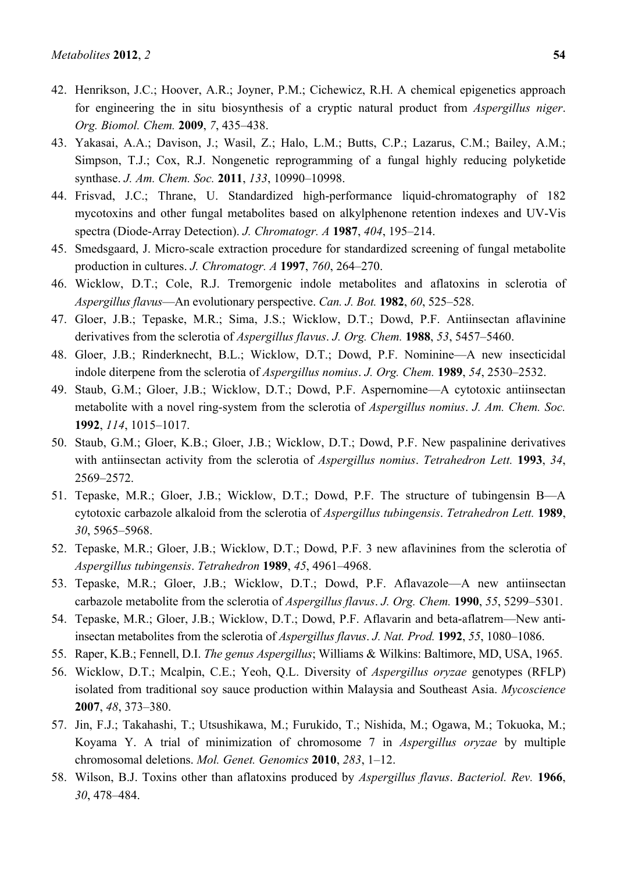- 42. Henrikson, J.C.; Hoover, A.R.; Joyner, P.M.; Cichewicz, R.H. A chemical epigenetics approach for engineering the in situ biosynthesis of a cryptic natural product from *Aspergillus niger*. *Org. Biomol. Chem.* **2009**, *7*, 435–438.
- 43. Yakasai, A.A.; Davison, J.; Wasil, Z.; Halo, L.M.; Butts, C.P.; Lazarus, C.M.; Bailey, A.M.; Simpson, T.J.; Cox, R.J. Nongenetic reprogramming of a fungal highly reducing polyketide synthase. *J. Am. Chem. Soc.* **2011**, *133*, 10990–10998.
- 44. Frisvad, J.C.; Thrane, U. Standardized high-performance liquid-chromatography of 182 mycotoxins and other fungal metabolites based on alkylphenone retention indexes and UV-Vis spectra (Diode-Array Detection). *J. Chromatogr. A* **1987**, *404*, 195–214.
- 45. Smedsgaard, J. Micro-scale extraction procedure for standardized screening of fungal metabolite production in cultures. *J. Chromatogr. A* **1997**, *760*, 264–270.
- 46. Wicklow, D.T.; Cole, R.J. Tremorgenic indole metabolites and aflatoxins in sclerotia of *Aspergillus flavus*—An evolutionary perspective. *Can. J. Bot.* **1982**, *60*, 525–528.
- 47. Gloer, J.B.; Tepaske, M.R.; Sima, J.S.; Wicklow, D.T.; Dowd, P.F. Antiinsectan aflavinine derivatives from the sclerotia of *Aspergillus flavus*. *J. Org. Chem.* **1988**, *53*, 5457–5460.
- 48. Gloer, J.B.; Rinderknecht, B.L.; Wicklow, D.T.; Dowd, P.F. Nominine—A new insecticidal indole diterpene from the sclerotia of *Aspergillus nomius*. *J. Org. Chem.* **1989**, *54*, 2530–2532.
- 49. Staub, G.M.; Gloer, J.B.; Wicklow, D.T.; Dowd, P.F. Aspernomine—A cytotoxic antiinsectan metabolite with a novel ring-system from the sclerotia of *Aspergillus nomius*. *J. Am. Chem. Soc.*  **1992**, *114*, 1015–1017.
- 50. Staub, G.M.; Gloer, K.B.; Gloer, J.B.; Wicklow, D.T.; Dowd, P.F. New paspalinine derivatives with antiinsectan activity from the sclerotia of *Aspergillus nomius*. *Tetrahedron Lett.* **1993**, *34*, 2569–2572.
- 51. Tepaske, M.R.; Gloer, J.B.; Wicklow, D.T.; Dowd, P.F. The structure of tubingensin B—A cytotoxic carbazole alkaloid from the sclerotia of *Aspergillus tubingensis*. *Tetrahedron Lett.* **1989**, *30*, 5965–5968.
- 52. Tepaske, M.R.; Gloer, J.B.; Wicklow, D.T.; Dowd, P.F. 3 new aflavinines from the sclerotia of *Aspergillus tubingensis*. *Tetrahedron* **1989**, *45*, 4961–4968.
- 53. Tepaske, M.R.; Gloer, J.B.; Wicklow, D.T.; Dowd, P.F. Aflavazole—A new antiinsectan carbazole metabolite from the sclerotia of *Aspergillus flavus*. *J. Org. Chem.* **1990**, *55*, 5299–5301.
- 54. Tepaske, M.R.; Gloer, J.B.; Wicklow, D.T.; Dowd, P.F. Aflavarin and beta-aflatrem—New antiinsectan metabolites from the sclerotia of *Aspergillus flavus*. *J. Nat. Prod.* **1992**, *55*, 1080–1086.
- 55. Raper, K.B.; Fennell, D.I. *The genus Aspergillus*; Williams & Wilkins: Baltimore, MD, USA, 1965.
- 56. Wicklow, D.T.; Mcalpin, C.E.; Yeoh, Q.L. Diversity of *Aspergillus oryzae* genotypes (RFLP) isolated from traditional soy sauce production within Malaysia and Southeast Asia. *Mycoscience* **2007**, *48*, 373–380.
- 57. Jin, F.J.; Takahashi, T.; Utsushikawa, M.; Furukido, T.; Nishida, M.; Ogawa, M.; Tokuoka, M.; Koyama Y. A trial of minimization of chromosome 7 in *Aspergillus oryzae* by multiple chromosomal deletions. *Mol. Genet. Genomics* **2010**, *283*, 1–12.
- 58. Wilson, B.J. Toxins other than aflatoxins produced by *Aspergillus flavus*. *Bacteriol. Rev.* **1966**, *30*, 478–484.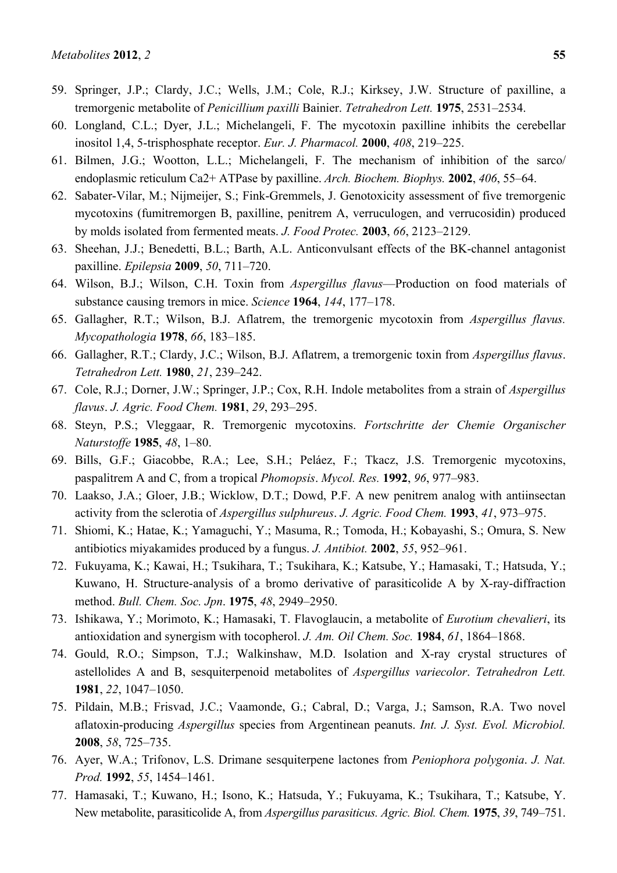- 59. Springer, J.P.; Clardy, J.C.; Wells, J.M.; Cole, R.J.; Kirksey, J.W. Structure of paxilline, a tremorgenic metabolite of *Penicillium paxilli* Bainier. *Tetrahedron Lett.* **1975**, 2531–2534.
- 60. Longland, C.L.; Dyer, J.L.; Michelangeli, F. The mycotoxin paxilline inhibits the cerebellar inositol 1,4, 5-trisphosphate receptor. *Eur. J. Pharmacol.* **2000**, *408*, 219–225.
- 61. Bilmen, J.G.; Wootton, L.L.; Michelangeli, F. The mechanism of inhibition of the sarco/ endoplasmic reticulum Ca2+ ATPase by paxilline. *Arch. Biochem. Biophys.* **2002**, *406*, 55–64.
- 62. Sabater-Vilar, M.; Nijmeijer, S.; Fink-Gremmels, J. Genotoxicity assessment of five tremorgenic mycotoxins (fumitremorgen B, paxilline, penitrem A, verruculogen, and verrucosidin) produced by molds isolated from fermented meats. *J. Food Protec.* **2003**, *66*, 2123–2129.
- 63. Sheehan, J.J.; Benedetti, B.L.; Barth, A.L. Anticonvulsant effects of the BK-channel antagonist paxilline. *Epilepsia* **2009**, *50*, 711–720.
- 64. Wilson, B.J.; Wilson, C.H. Toxin from *Aspergillus flavus*—Production on food materials of substance causing tremors in mice. *Science* **1964**, *144*, 177–178.
- 65. Gallagher, R.T.; Wilson, B.J. Aflatrem, the tremorgenic mycotoxin from *Aspergillus flavus. Mycopathologia* **1978**, *66*, 183–185.
- 66. Gallagher, R.T.; Clardy, J.C.; Wilson, B.J. Aflatrem, a tremorgenic toxin from *Aspergillus flavus*. *Tetrahedron Lett.* **1980**, *21*, 239–242.
- 67. Cole, R.J.; Dorner, J.W.; Springer, J.P.; Cox, R.H. Indole metabolites from a strain of *Aspergillus flavus*. *J. Agric. Food Chem.* **1981**, *29*, 293–295.
- 68. Steyn, P.S.; Vleggaar, R. Tremorgenic mycotoxins. *Fortschritte der Chemie Organischer Naturstoffe* **1985**, *48*, 1–80.
- 69. Bills, G.F.; Giacobbe, R.A.; Lee, S.H.; Peláez, F.; Tkacz, J.S. Tremorgenic mycotoxins, paspalitrem A and C, from a tropical *Phomopsis*. *Mycol. Res.* **1992**, *96*, 977–983.
- 70. Laakso, J.A.; Gloer, J.B.; Wicklow, D.T.; Dowd, P.F. A new penitrem analog with antiinsectan activity from the sclerotia of *Aspergillus sulphureus*. *J. Agric. Food Chem.* **1993**, *41*, 973–975.
- 71. Shiomi, K.; Hatae, K.; Yamaguchi, Y.; Masuma, R.; Tomoda, H.; Kobayashi, S.; Omura, S. New antibiotics miyakamides produced by a fungus. *J. Antibiot.* **2002**, *55*, 952–961.
- 72. Fukuyama, K.; Kawai, H.; Tsukihara, T.; Tsukihara, K.; Katsube, Y.; Hamasaki, T.; Hatsuda, Y.; Kuwano, H. Structure-analysis of a bromo derivative of parasiticolide A by X-ray-diffraction method. *Bull. Chem. Soc. Jpn*. **1975**, *48*, 2949–2950.
- 73. Ishikawa, Y.; Morimoto, K.; Hamasaki, T. Flavoglaucin, a metabolite of *Eurotium chevalieri*, its antioxidation and synergism with tocopherol. *J. Am. Oil Chem. Soc.* **1984**, *61*, 1864–1868.
- 74. Gould, R.O.; Simpson, T.J.; Walkinshaw, M.D. Isolation and X-ray crystal structures of astellolides A and B, sesquiterpenoid metabolites of *Aspergillus variecolor*. *Tetrahedron Lett.*  **1981**, *22*, 1047–1050.
- 75. Pildain, M.B.; Frisvad, J.C.; Vaamonde, G.; Cabral, D.; Varga, J.; Samson, R.A. Two novel aflatoxin-producing *Aspergillus* species from Argentinean peanuts. *Int. J. Syst. Evol. Microbiol.* **2008**, *58*, 725–735.
- 76. Ayer, W.A.; Trifonov, L.S. Drimane sesquiterpene lactones from *Peniophora polygonia*. *J. Nat. Prod.* **1992**, *55*, 1454–1461.
- 77. Hamasaki, T.; Kuwano, H.; Isono, K.; Hatsuda, Y.; Fukuyama, K.; Tsukihara, T.; Katsube, Y. New metabolite, parasiticolide A, from *Aspergillus parasiticus. Agric. Biol. Chem.* **1975**, *39*, 749–751.